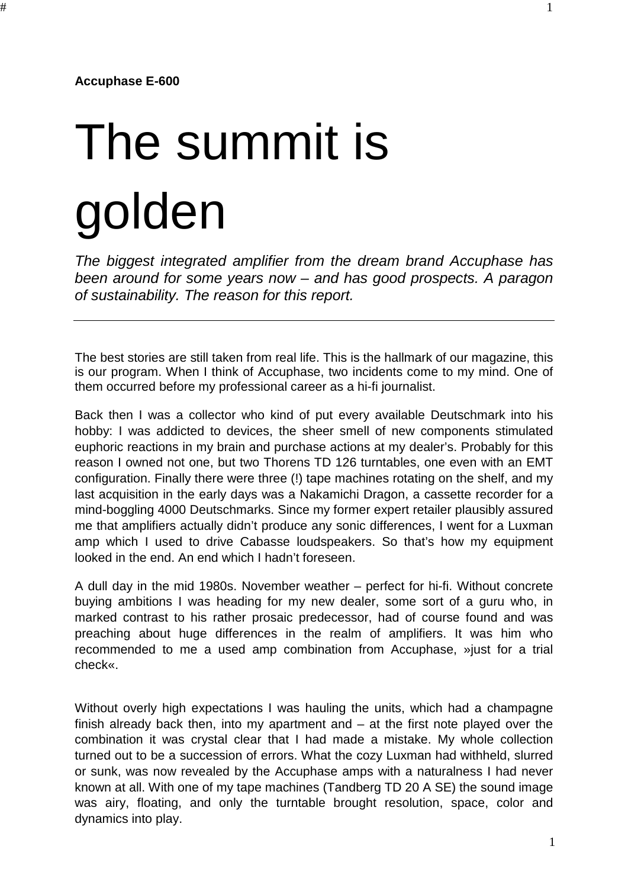**Accuphase E-600**

## The summit is golden

*The biggest integrated amplifier from the dream brand Accuphase has been around for some years now – and has good prospects. A paragon of sustainability. The reason for this report.*

The best stories are still taken from real life. This is the hallmark of our magazine, this is our program. When I think of Accuphase, two incidents come to my mind. One of them occurred before my professional career as a hi-fi journalist.

Back then I was a collector who kind of put every available Deutschmark into his hobby: I was addicted to devices, the sheer smell of new components stimulated euphoric reactions in my brain and purchase actions at my dealer's. Probably for this reason I owned not one, but two Thorens TD 126 turntables, one even with an EMT configuration. Finally there were three (!) tape machines rotating on the shelf, and my last acquisition in the early days was a Nakamichi Dragon, a cassette recorder for a mind-boggling 4000 Deutschmarks. Since my former expert retailer plausibly assured me that amplifiers actually didn't produce any sonic differences, I went for a Luxman amp which I used to drive Cabasse loudspeakers. So that's how my equipment looked in the end. An end which I hadn't foreseen.

A dull day in the mid 1980s. November weather – perfect for hi-fi. Without concrete buying ambitions I was heading for my new dealer, some sort of a guru who, in marked contrast to his rather prosaic predecessor, had of course found and was preaching about huge differences in the realm of amplifiers. It was him who recommended to me a used amp combination from Accuphase, »just for a trial check«.

Without overly high expectations I was hauling the units, which had a champagne finish already back then, into my apartment and – at the first note played over the combination it was crystal clear that I had made a mistake. My whole collection turned out to be a succession of errors. What the cozy Luxman had withheld, slurred or sunk, was now revealed by the Accuphase amps with a naturalness I had never known at all. With one of my tape machines (Tandberg TD 20 A SE) the sound image was airy, floating, and only the turntable brought resolution, space, color and dynamics into play.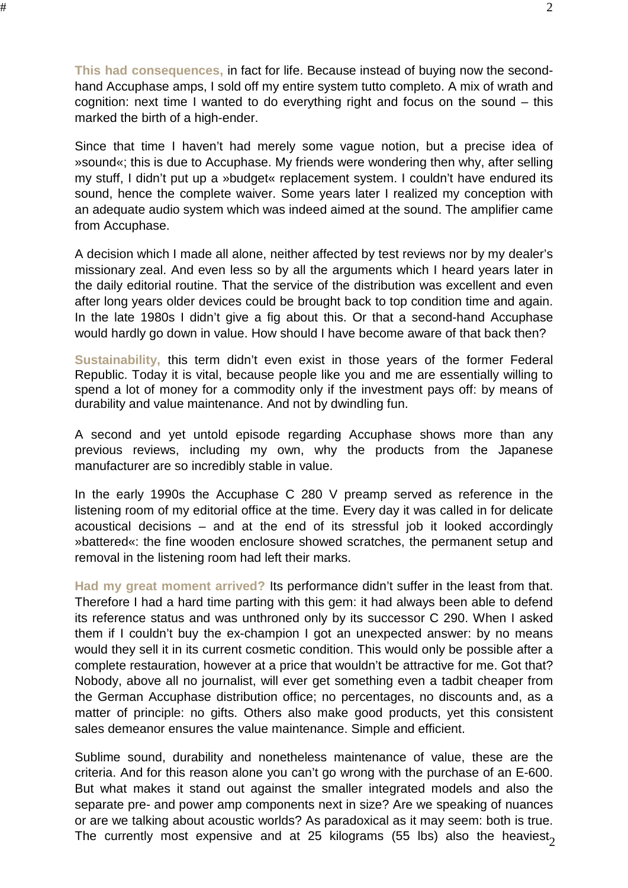**This had consequences,** in fact for life. Because instead of buying now the secondhand Accuphase amps, I sold off my entire system tutto completo. A mix of wrath and cognition: next time I wanted to do everything right and focus on the sound – this marked the birth of a high-ender.

Since that time I haven't had merely some vague notion, but a precise idea of »sound«; this is due to Accuphase. My friends were wondering then why, after selling my stuff, I didn't put up a »budget« replacement system. I couldn't have endured its sound, hence the complete waiver. Some years later I realized my conception with an adequate audio system which was indeed aimed at the sound. The amplifier came from Accuphase.

A decision which I made all alone, neither affected by test reviews nor by my dealer's missionary zeal. And even less so by all the arguments which I heard years later in the daily editorial routine. That the service of the distribution was excellent and even after long years older devices could be brought back to top condition time and again. In the late 1980s I didn't give a fig about this. Or that a second-hand Accuphase would hardly go down in value. How should I have become aware of that back then?

**Sustainability,** this term didn't even exist in those years of the former Federal Republic. Today it is vital, because people like you and me are essentially willing to spend a lot of money for a commodity only if the investment pays off: by means of durability and value maintenance. And not by dwindling fun.

A second and yet untold episode regarding Accuphase shows more than any previous reviews, including my own, why the products from the Japanese manufacturer are so incredibly stable in value.

In the early 1990s the Accuphase C 280 V preamp served as reference in the listening room of my editorial office at the time. Every day it was called in for delicate acoustical decisions – and at the end of its stressful job it looked accordingly »battered«: the fine wooden enclosure showed scratches, the permanent setup and removal in the listening room had left their marks.

**Had my great moment arrived?** Its performance didn't suffer in the least from that. Therefore I had a hard time parting with this gem: it had always been able to defend its reference status and was unthroned only by its successor C 290. When I asked them if I couldn't buy the ex-champion I got an unexpected answer: by no means would they sell it in its current cosmetic condition. This would only be possible after a complete restauration, however at a price that wouldn't be attractive for me. Got that? Nobody, above all no journalist, will ever get something even a tadbit cheaper from the German Accuphase distribution office; no percentages, no discounts and, as a matter of principle: no gifts. Others also make good products, yet this consistent sales demeanor ensures the value maintenance. Simple and efficient.

The currently most expensive and at 25 kilograms (55 lbs) also the heaviest $_{\rm 2}$ Sublime sound, durability and nonetheless maintenance of value, these are the criteria. And for this reason alone you can't go wrong with the purchase of an E-600. But what makes it stand out against the smaller integrated models and also the separate pre- and power amp components next in size? Are we speaking of nuances or are we talking about acoustic worlds? As paradoxical as it may seem: both is true.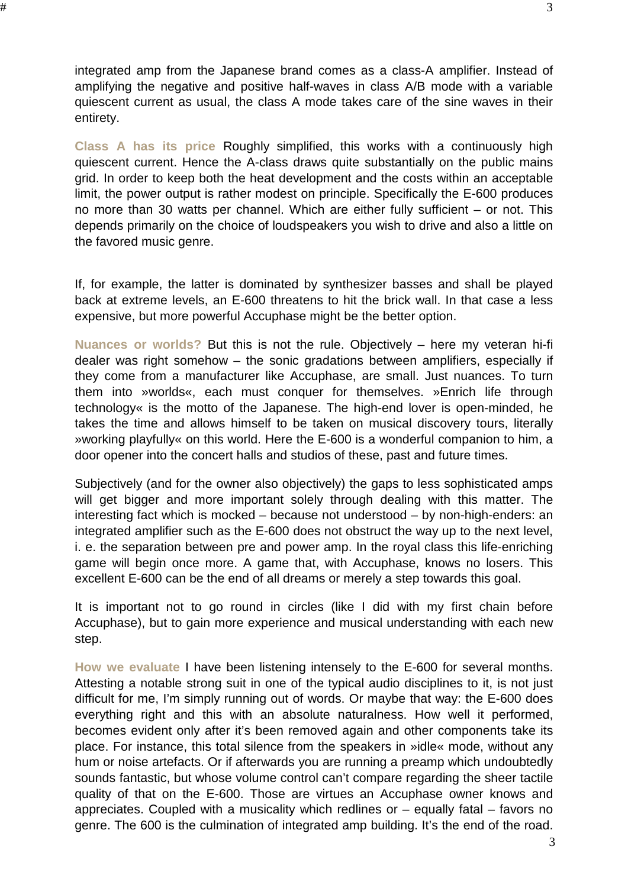**Class A has its price** Roughly simplified, this works with a continuously high quiescent current. Hence the A-class draws quite substantially on the public mains grid. In order to keep both the heat development and the costs within an acceptable limit, the power output is rather modest on principle. Specifically the E-600 produces no more than 30 watts per channel. Which are either fully sufficient – or not. This depends primarily on the choice of loudspeakers you wish to drive and also a little on the favored music genre.

quiescent current as usual, the class A mode takes care of the sine waves in their

 $\#$ 

entirety.

If, for example, the latter is dominated by synthesizer basses and shall be played back at extreme levels, an E-600 threatens to hit the brick wall. In that case a less expensive, but more powerful Accuphase might be the better option.

**Nuances or worlds?** But this is not the rule. Objectively – here my veteran hi-fi dealer was right somehow – the sonic gradations between amplifiers, especially if they come from a manufacturer like Accuphase, are small. Just nuances. To turn them into »worlds«, each must conquer for themselves. »Enrich life through technology« is the motto of the Japanese. The high-end lover is open-minded, he takes the time and allows himself to be taken on musical discovery tours, literally »working playfully« on this world. Here the E-600 is a wonderful companion to him, a door opener into the concert halls and studios of these, past and future times.

Subjectively (and for the owner also objectively) the gaps to less sophisticated amps will get bigger and more important solely through dealing with this matter. The interesting fact which is mocked – because not understood – by non-high-enders: an integrated amplifier such as the E-600 does not obstruct the way up to the next level, i. e. the separation between pre and power amp. In the royal class this life-enriching game will begin once more. A game that, with Accuphase, knows no losers. This excellent E-600 can be the end of all dreams or merely a step towards this goal.

It is important not to go round in circles (like I did with my first chain before Accuphase), but to gain more experience and musical understanding with each new step.

**How we evaluate** I have been listening intensely to the E-600 for several months. Attesting a notable strong suit in one of the typical audio disciplines to it, is not just difficult for me, I'm simply running out of words. Or maybe that way: the E-600 does everything right and this with an absolute naturalness. How well it performed, becomes evident only after it's been removed again and other components take its place. For instance, this total silence from the speakers in »idle« mode, without any hum or noise artefacts. Or if afterwards you are running a preamp which undoubtedly sounds fantastic, but whose volume control can't compare regarding the sheer tactile quality of that on the E-600. Those are virtues an Accuphase owner knows and appreciates. Coupled with a musicality which redlines or – equally fatal – favors no genre. The 600 is the culmination of integrated amp building. It's the end of the road.